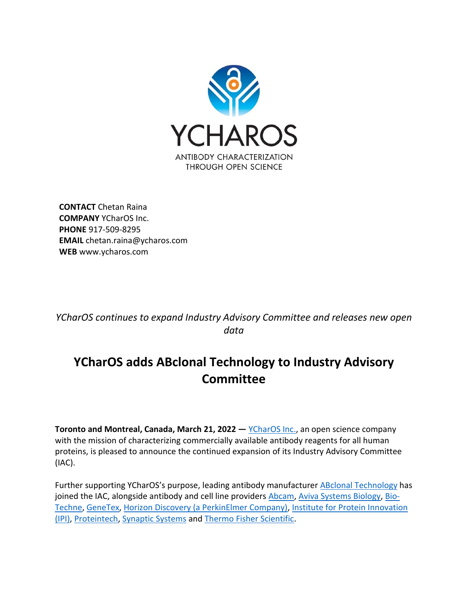

**CONTACT** Chetan Raina **COMPANY** YCharOS Inc. **PHONE** 917-509-8295 **EMAIL** chetan.raina@ycharos.com **WEB** www.ycharos.com

*YCharOS continues to expand Industry Advisory Committee and releases new open data*

## **YCharOS adds ABclonal Technology to Industry Advisory Committee**

**Toronto and Montreal, Canada, March 21, 2022 —** [YCharOS Inc.,](http://www.ycharos.com/) an open science company with the mission of characterizing commercially available antibody reagents for all human proteins, is pleased to announce the continued expansion of its Industry Advisory Committee (IAC).

Further supporting YCharOS's purpose, leading antibody manufacturer ABclonal [Technology](https://abclonal.com/) has joined the IAC, alongside antibody and cell line providers [Abcam,](http://www.abcamplc.com/) [Aviva Systems Biology,](http://www.avivasysbio.com/) [Bio-](https://www.bio-techne.com/)[Techne,](https://www.bio-techne.com/) [GeneTex,](https://www.genetex.com/) [Horizon Discovery \(a PerkinElmer Company\),](https://horizondiscovery.com/) [Institute for Protein Innovation](https://proteininnovation.org/)  [\(IPI\),](https://proteininnovation.org/) [Proteintech,](https://www.ptglab.com/) [Synaptic Systems](http://www.sysy.com/) an[d Thermo Fisher Scientific.](https://www.thermofisher.com/)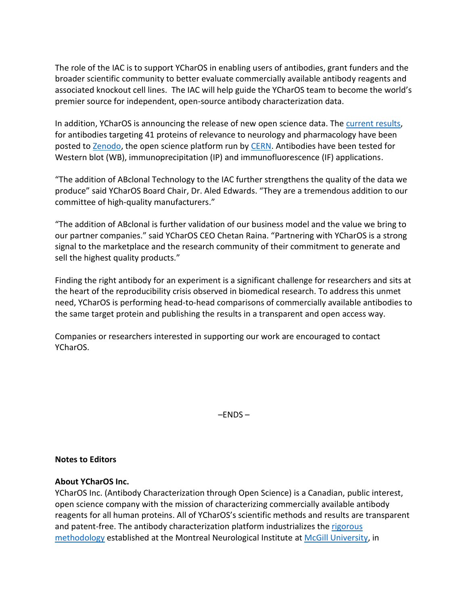The role of the IAC is to support YCharOS in enabling users of antibodies, grant funders and the broader scientific community to better evaluate commercially available antibody reagents and associated knockout cell lines. The IAC will help guide the YCharOS team to become the world's premier source for independent, open-source antibody characterization data.

In addition, YCharOS is announcing the release of new open science data. The [current](https://zenodo.org/communities/ycharos/?page=1&size=20) results, for antibodies targeting 41 proteins of relevance to neurology and pharmacology have been posted to [Zenodo,](https://zenodo.org/communities/ycharos/?page=1&size=20) the open science platform run by [CERN.](https://home.cern/) Antibodies have been tested for Western blot (WB), immunoprecipitation (IP) and immunofluorescence (IF) applications.

"The addition of ABclonal Technology to the IAC further strengthens the quality of the data we produce" said YCharOS Board Chair, Dr. Aled Edwards. "They are a tremendous addition to our committee of high-quality manufacturers."

"The addition of ABclonal is further validation of our business model and the value we bring to our partner companies." said YCharOS CEO Chetan Raina. "Partnering with YCharOS is a strong signal to the marketplace and the research community of their commitment to generate and sell the highest quality products."

Finding the right antibody for an experiment is a significant challenge for researchers and sits at the heart of the reproducibility crisis observed in biomedical research. To address this unmet need, YCharOS is performing head-to-head comparisons of commercially available antibodies to the same target protein and publishing the results in a transparent and open access way.

Companies or researchers interested in supporting our work are encouraged to contact YCharOS.

–ENDS –

## **Notes to Editors**

## **About YCharOS Inc.**

YCharOS Inc. (Antibody Characterization through Open Science) is a Canadian, public interest, open science company with the mission of characterizing commercially available antibody reagents for all human proteins. All of YCharOS's scientific methods and results are transparent and patent-free. The antibody characterization platform industrializes the rigorous [methodology](https://elifesciences.org/articles/48363) established at the Montreal Neurological Institute at [McGill University,](http://www.mcgill.ca/) in